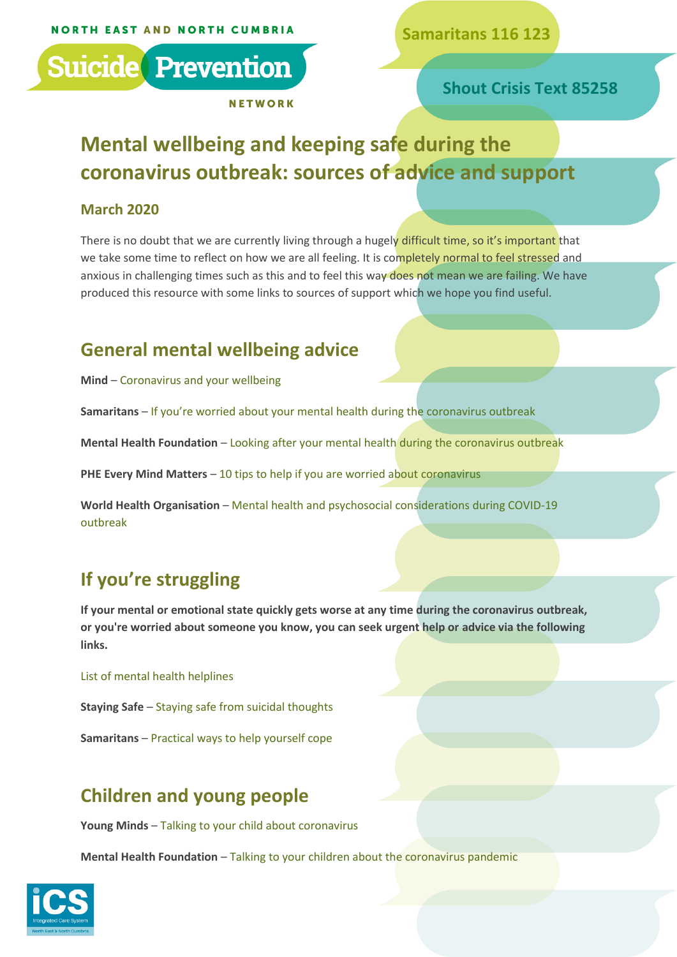**Samaritans 116 123**



**Shout Crisis Text 85258**

# **Mental wellbeing and keeping safe during the coronavirus outbreak: sources of advice and support**

#### **March 2020**

There is no doubt that we are currently living through a hugely difficult time, so it's important that we take some time to reflect on how we are all feeling. It is completely normal to feel stressed and anxious in challenging times such as this and to feel this way does not mean we are failing. We have produced this resource with some links to sources of support which we hope you find useful.

### **General mental wellbeing advice**

**Mind** – [Coronavirus and your wellbeing](https://www.mind.org.uk/information-support/coronavirus-and-your-wellbeing)

**Samaritans** – [If you're worried about your mental health during the coronavirus outbreak](https://www.samaritans.org/how-we-can-help/support-and-information/if-youre-having-difficult-time/if-youre-worried-about-your-mental-health-during-coronavirus-outbreak/)

**Mental Health Foundation** – [Looking after your mental health during the coronavirus outbreak](https://mentalhealth.org.uk/publications/looking-after-your-mental-health-during-coronavirus-outbreak)

**PHE Every Mind Matters** – [10 tips to help if you are worried about coronavirus](https://www.nhs.uk/oneyou/every-mind-matters/coronavirus-covid-19-anxiety-tips/)

**World Health Organisation** – [Mental health and psychosocial considerations during COVID-19](https://www.who.int/docs/default-source/coronaviruse/mental-health-considerations.pdf)  [outbreak](https://www.who.int/docs/default-source/coronaviruse/mental-health-considerations.pdf)

## **If you're struggling**

**If your mental or emotional state quickly gets worse at any time during the coronavirus outbreak, or you're worried about someone you know, you can seek urgent help or advice via the following links.**

[List of mental health helplines](https://www.nhs.uk/conditions/stress-anxiety-depression/mental-health-helplines/)

**Staying Safe** – [Staying safe from suicidal thoughts](https://www.stayingsafe.net/home)

**Samaritans** – [Practical ways to help yourself cope](https://www.samaritans.org/how-we-can-help/support-and-information/if-youre-having-difficult-time/signs-you-may-be-struggling-cope/practical-ways-help-yourself-cope/)

## **Children and young people**

**Young Minds** – [Talking to your child about coronavirus](https://youngminds.org.uk/blog/talking-to-your-child-about-coronavirus/)

**Mental Health Foundation** – [Talking to your children about the coronavirus pandemic](https://mentalhealth.org.uk/coronavirus/talking-to-children)